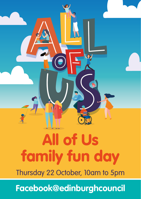# All of Us family fun day

Thursday 22 October, 10am to 5pm

**[Facebook@edinburghcouncil](https://www.facebook.com/edinburghcouncil/)**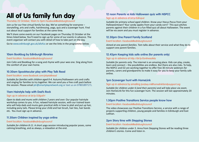## All of Us family fun day

Thursday 22 October, 10am to 5pm *[Facebook@edinburghcouncil](https://www.facebook.com/edinburghcouncil/)*

Join us for our free virtual family fun day. We've something for everyone – storytelling, arts and crafts, hairdressing, yoga, quiz and a scavenger hunt. Find out about local support for families at the same time.

We'll share some events on our Facebook pages on Thursday 22 October at the times listed below. You'll need to sign up for some of our events in advance. The event organiser will contact you with detail of how to take part on the day.

Go to [www.edinburgh.gov.uk/allofus](http://www.edinburgh.gov.uk/allofus) or see the links in the programme below.

#### **10am Bookbug by Edinburgh libraries**

#### Event location: *[Facebook@edinburghcouncil](https://www.facebook.com/edinburghcouncil/)*

Join Colin and Bookbug for a song and rhyme with your wee one. Sing along from the comfort of your own home.

#### **10.30am Spooktacular play with Play Talk Read**

#### Event location: *[www.facebook.com/playtalkread](https://www.facebook.com/playtalkread)*

*Suitable for families with children aged 0-4.* Autumn/Halloween arts and crafts and singing for families to try together. We can send you a free craft pack before the session. Please email [ptr@smartplaynetwork.org](mailto:ptr@smartplaynetwork.org) or text us on 07801897171.

#### **11am Hairstyle help with Dad's Rock**

#### Sign up in advance at *[bit.ly/33fgoEH](https://www.eventbrite.co.uk/e/hairstyle-workshop-for-dads-and-mums-online-tickets-123142666029)*

*Open to dads and mums with children 2 years and over.* Our popular hairstyle workshop comes to you. A fun, relaxed hairstyle session, with our trained team who will help dads and mums gain practical skills in how to plait and put up hair, including pony tails. Please bring your child and hair brush, hair ties, hair bands etc. You must sign up in advance.

#### **11.30am Children inspired by yoga online**

#### Event location: *[Facebook@edinburghcouncil](https://www.facebook.com/edinburghcouncil/)*

*Suitable for children 8-11*. A short yoga session introducing popular poses, some calming breathing, and as always, a relaxation at the end.

#### **12 noon Parents vs kids Halloween quiz with NSPCC**

#### Sign up in advance at *[bit.ly/Edinquiz](https://www.eventbrite.com/e/the-parents-vs-kids-halloween-quiz-tickets-122517112983)*

*Suitable for primary school aged children*. Know your Hocus Pocus from your Halloweentown? Your candy apples from your candy corn? This quiz pitches parents against their children in a fun filled quiz all about Halloween. The event will be via zoom and you must register in advance.

#### **12.30pm One Parent Family Scotland**

#### Event location: *[Facebook@edinburghcouncil](https://www.facebook.com/edinburghcouncil/)*

*Aimed at one parent families*. Tom talks about their service and what they do to support one parent families.

#### **12.45pm Keeping kids safe online (for parents only)**

#### Sign up in advance at *[http://bit.ly/Eonlinesafety](https://register.gotowebinar.com/register/8909581723732933644)*

*Suitable for parents only.* The internet is an amazing place. Kids can play, create, learn and connect – the possibilities are endless. But there are also risks. To help, the NSPCC and O2 are working together to offer free 30 minute webinars for parents, carers and grandparents to make it easy for you to keep your family safe online.

#### **1pm Scavenger hunt with HomeLink**

#### Sign up in advance by emailing *[lyndsey.m@homelinkfamilysupport.org](mailto:lyndsey.m%40homelinkfamilysupport.org?subject=Scavanger%20sign%20up)*

*Suitable for children under 6 (and their parents) and will take place via zoom.* Join HomeLink for this fun scavenger hunt. The session will last approximately 20 minutes.

#### **1.30pm Positive Transitions Service people know how**

#### Event location: *[Facebook@edinburghcouncil](https://www.facebook.com/edinburghcouncil/)*

The video showcases our Positive Transitions Service, a service with a range of projects supporting children, young people and families in Edinburgh and East Lothian.

#### **2pm Story time with Stepping Stones**

#### Event location: *[Facebook@edinburghcouncil](https://www.facebook.com/edinburghcouncil/)*

*Suitable for children under 5.* Anna from Stepping Stones will be reading three children's stories. Come and listen in.